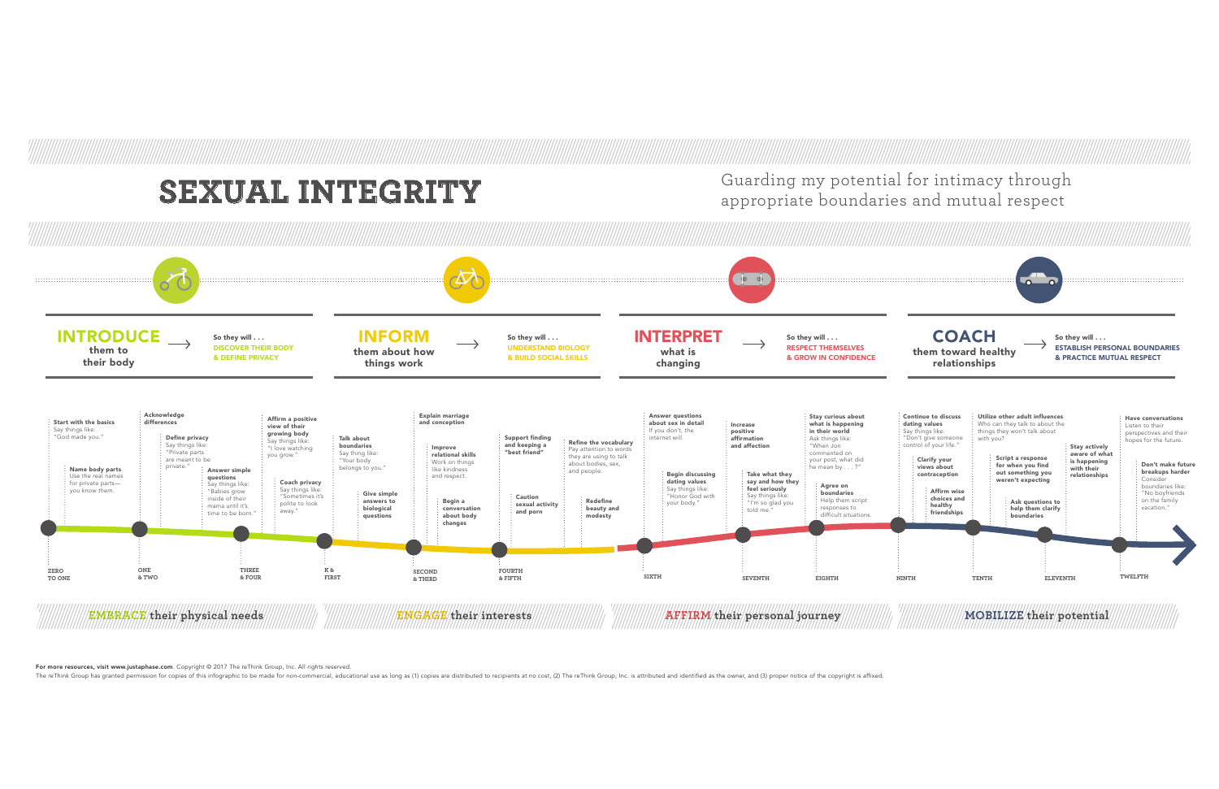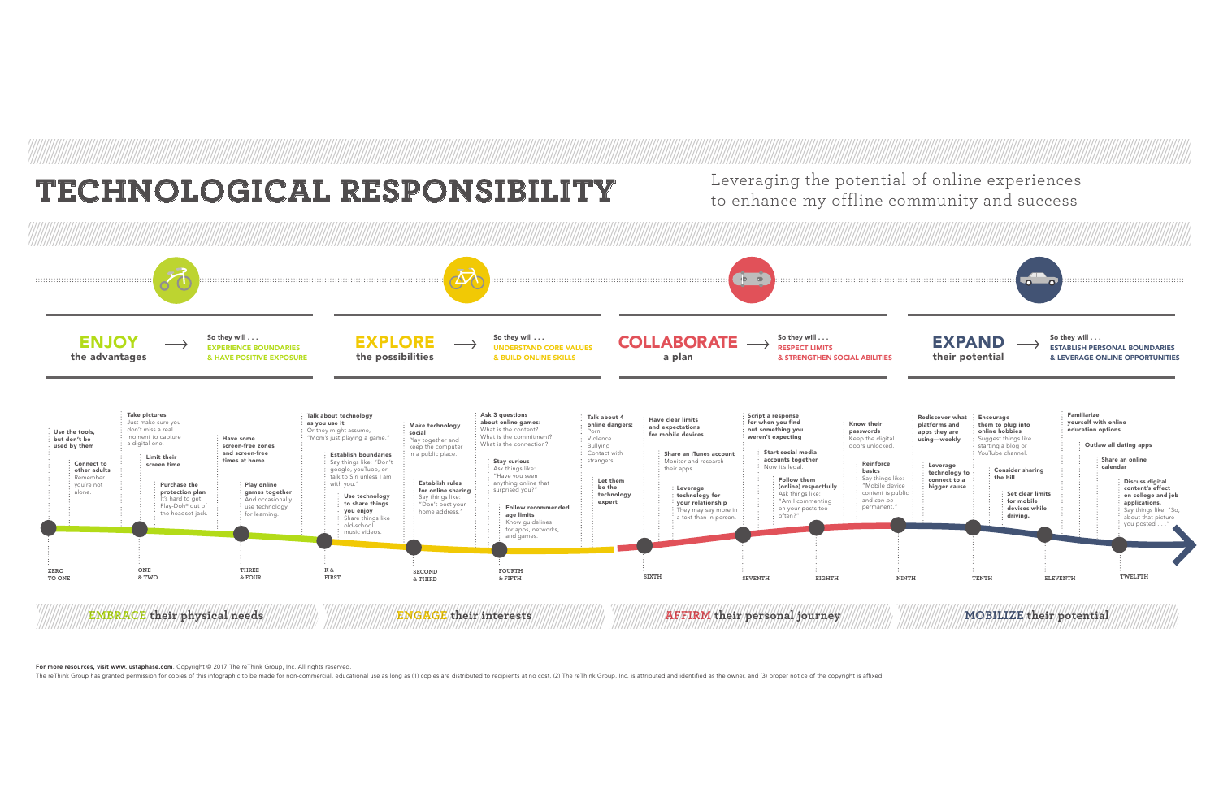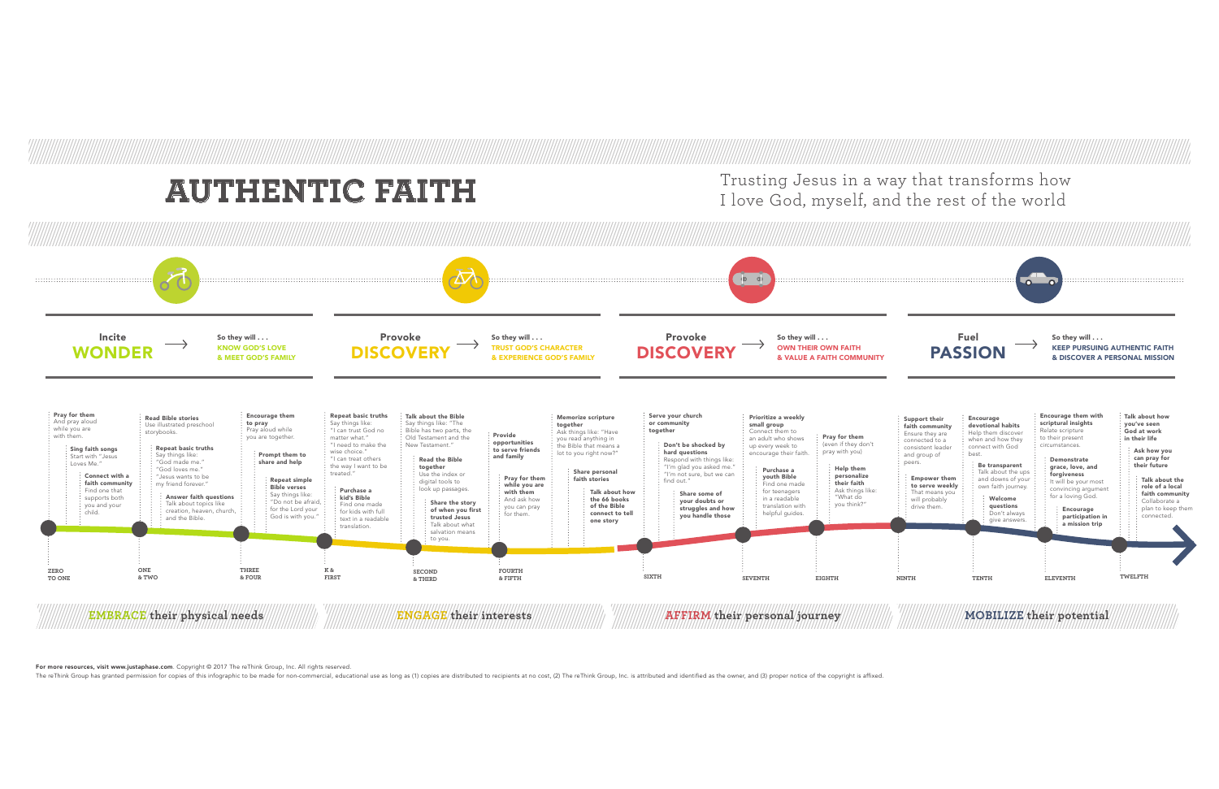